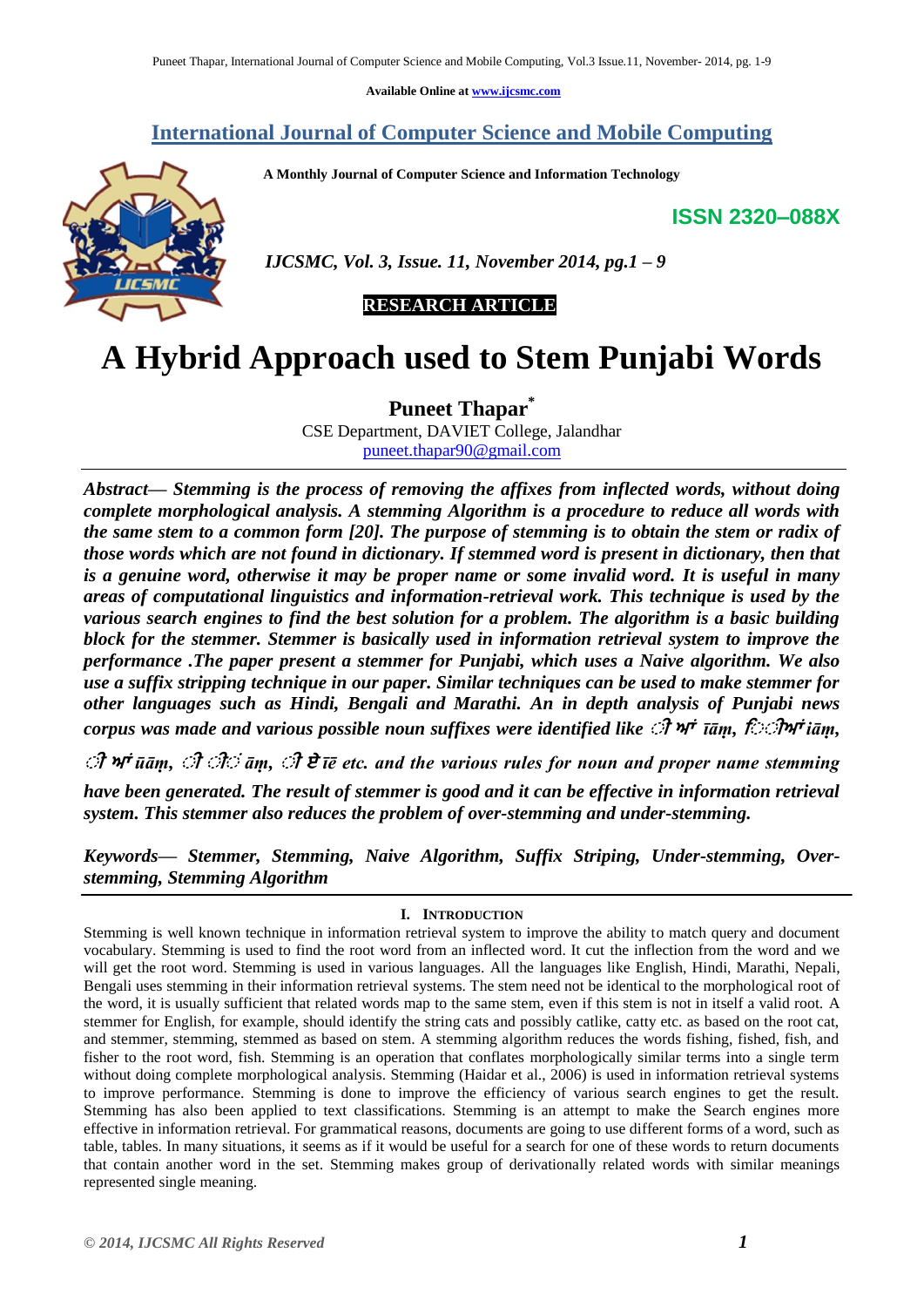**Available Online at [www.ijcsmc.com](http://www.ijcsmc.com/)**

# **International Journal of Computer Science and Mobile Computing**

 **A Monthly Journal of Computer Science and Information Technology**

**ISSN 2320–088X**



 *IJCSMC, Vol. 3, Issue. 11, November 2014, pg.1 – 9*

# **RESEARCH ARTICLE**

# **A Hybrid Approach used to Stem Punjabi Words**

**Puneet Thapar\*** CSE Department, DAVIET College, Jalandhar [puneet.thapar90@gmail.com](mailto:puneet.thapar90@gmail.com)

*Abstract— Stemming is the process of removing the affixes from inflected words, without doing complete morphological analysis. A stemming Algorithm is a procedure to reduce all words with the same stem to a common form [20]. The purpose of stemming is to obtain the stem or radix of those words which are not found in dictionary. If stemmed word is present in dictionary, then that is a genuine word, otherwise it may be proper name or some invalid word. It is useful in many areas of computational linguistics and information-retrieval work. This technique is used by the various search engines to find the best solution for a problem. The algorithm is a basic building block for the stemmer. Stemmer is basically used in information retrieval system to improve the performance .The paper present a stemmer for Punjabi, which uses a Naive algorithm. We also use a suffix stripping technique in our paper. Similar techniques can be used to make stemmer for other languages such as Hindi, Bengali and Marathi. An in depth analysis of Punjabi news corpus was made and various possible noun suffixes were identified like <i>I*  $\mathcal{W}$  *iām, f n iām,* *ūāṃ, āṃ,* **ਏ** *īē etc. and the various rules for noun and proper name stemming* 

*have been generated. The result of stemmer is good and it can be effective in information retrieval system. This stemmer also reduces the problem of over-stemming and under-stemming.*

*Keywords— Stemmer, Stemming, Naive Algorithm, Suffix Striping, Under-stemming, Overstemming, Stemming Algorithm*

# **I. INTRODUCTION**

Stemming is well known technique in information retrieval system to improve the ability to match query and document vocabulary. Stemming is used to find the root word from an inflected word. It cut the inflection from the word and we will get the root word. Stemming is used in various languages. All the languages like English, Hindi, Marathi, Nepali, Bengali uses stemming in their information retrieval systems. The stem need not be identical to the morphological root of the word, it is usually sufficient that related words map to the same stem, even if this stem is not in itself a valid root. A stemmer for English, for example, should identify the string cats and possibly catlike, catty etc. as based on the root cat, and stemmer, stemming, stemmed as based on stem. A stemming algorithm reduces the words fishing, fished, fish, and fisher to the root word, fish. Stemming is an operation that conflates morphologically similar terms into a single term without doing complete morphological analysis. Stemming (Haidar et al., 2006) is used in information retrieval systems to improve performance. Stemming is done to improve the efficiency of various search engines to get the result. Stemming has also been applied to text classifications. Stemming is an attempt to make the Search engines more effective in information retrieval. For grammatical reasons, documents are going to use different forms of a word, such as table, tables. In many situations, it seems as if it would be useful for a search for one of these words to return documents that contain another word in the set. Stemming makes group of derivationally related words with similar meanings represented single meaning.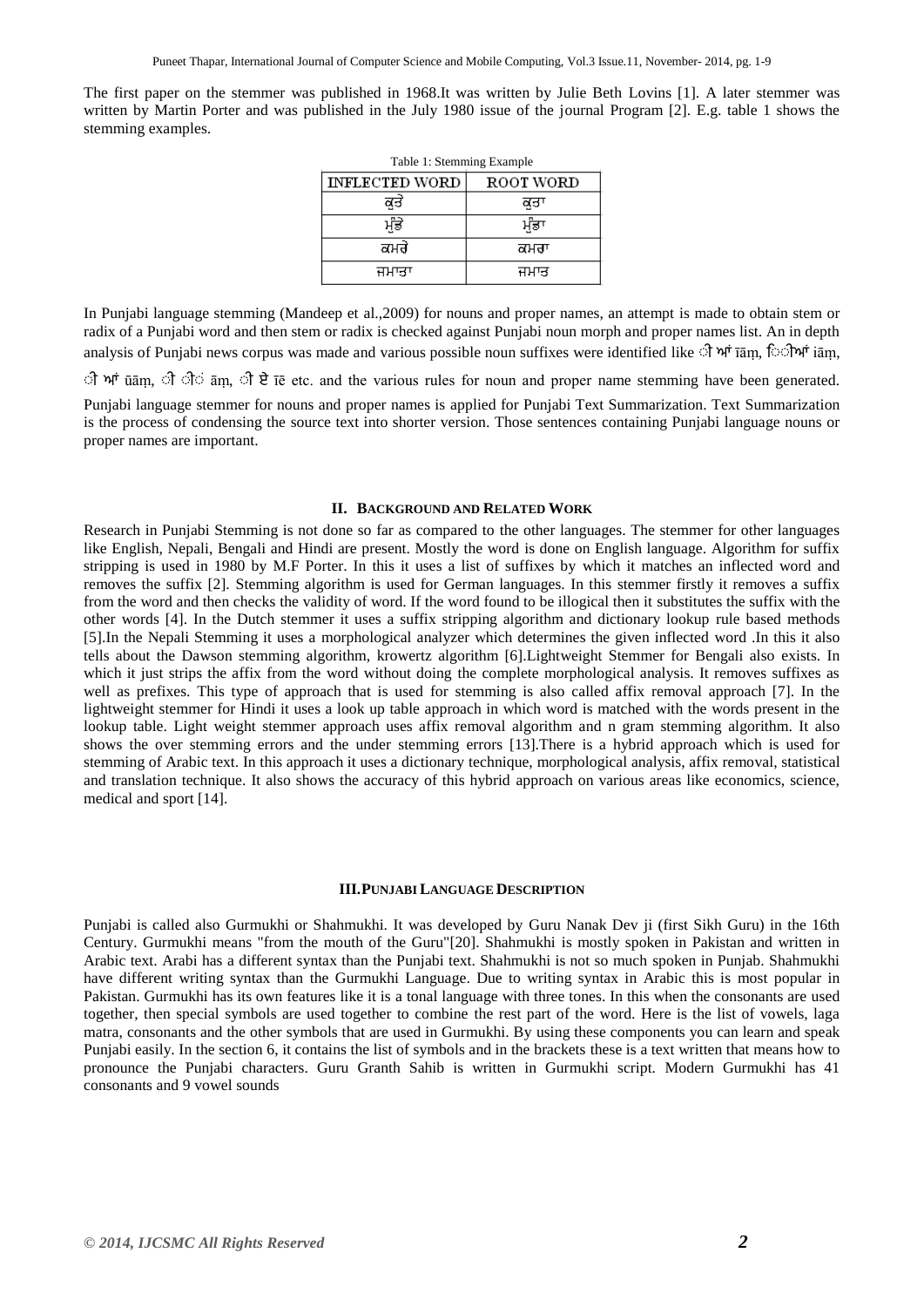The first paper on the stemmer was published in 1968.It was written by Julie Beth Lovins [1]. A later stemmer was written by Martin Porter and was published in the July 1980 issue of the journal Program [2]. E.g. table 1 shows the stemming examples.

| Table 1: Stemming Example |                  |  |  |  |  |
|---------------------------|------------------|--|--|--|--|
| <b>INFLECTED WORD</b>     | <b>ROOT WORD</b> |  |  |  |  |
| ਕਤ                        | ਕਤਾ              |  |  |  |  |
| ਮੰਡੋ                      | ਮਡਾ              |  |  |  |  |
| ਕਮਰੇ                      | ਕਮਰਾ             |  |  |  |  |
| ਜਮਾਤਾ                     | ਜਮਾਤ             |  |  |  |  |

In Punjabi language stemming (Mandeep et al.,2009) for nouns and proper names, an attempt is made to obtain stem or radix of a Punjabi word and then stem or radix is checked against Punjabi noun morph and proper names list. An in depth analysis of Punjabi news corpus was made and various possible noun suffixes were identified like ी ਆਂ īām, िीਆਂ iām, ी ਆਂ ūām, ी ी am, ी ऐ ie etc. and the various rules for noun and proper name stemming have been generated. Punjabi language stemmer for nouns and proper names is applied for Punjabi Text Summarization. Text Summarization

is the process of condensing the source text into shorter version. Those sentences containing Punjabi language nouns or proper names are important.

#### **II. BACKGROUND AND RELATED WORK**

Research in Punjabi Stemming is not done so far as compared to the other languages. The stemmer for other languages like English, Nepali, Bengali and Hindi are present. Mostly the word is done on English language. Algorithm for suffix stripping is used in 1980 by M.F Porter. In this it uses a list of suffixes by which it matches an inflected word and removes the suffix [2]. Stemming algorithm is used for German languages. In this stemmer firstly it removes a suffix from the word and then checks the validity of word. If the word found to be illogical then it substitutes the suffix with the other words [4]. In the Dutch stemmer it uses a suffix stripping algorithm and dictionary lookup rule based methods [5].In the Nepali Stemming it uses a morphological analyzer which determines the given inflected word .In this it also tells about the Dawson stemming algorithm, krowertz algorithm [6].Lightweight Stemmer for Bengali also exists. In which it just strips the affix from the word without doing the complete morphological analysis. It removes suffixes as well as prefixes. This type of approach that is used for stemming is also called affix removal approach [7]. In the lightweight stemmer for Hindi it uses a look up table approach in which word is matched with the words present in the lookup table. Light weight stemmer approach uses affix removal algorithm and n gram stemming algorithm. It also shows the over stemming errors and the under stemming errors [13].There is a hybrid approach which is used for stemming of Arabic text. In this approach it uses a dictionary technique, morphological analysis, affix removal, statistical and translation technique. It also shows the accuracy of this hybrid approach on various areas like economics, science, medical and sport [14].

#### **III.PUNJABI LANGUAGE DESCRIPTION**

Punjabi is called also Gurmukhi or Shahmukhi. It was developed by Guru Nanak Dev ji (first Sikh Guru) in the 16th Century. Gurmukhi means "from the mouth of the Guru"[20]. Shahmukhi is mostly spoken in Pakistan and written in Arabic text. Arabi has a different syntax than the Punjabi text. Shahmukhi is not so much spoken in Punjab. Shahmukhi have different writing syntax than the Gurmukhi Language. Due to writing syntax in Arabic this is most popular in Pakistan. Gurmukhi has its own features like it is a tonal language with three tones. In this when the consonants are used together, then special symbols are used together to combine the rest part of the word. Here is the list of vowels, laga matra, consonants and the other symbols that are used in Gurmukhi. By using these components you can learn and speak Punjabi easily. In the section 6, it contains the list of symbols and in the brackets these is a text written that means how to pronounce the Punjabi characters. Guru Granth Sahib is written in Gurmukhi script. Modern Gurmukhi has 41 consonants and 9 vowel sounds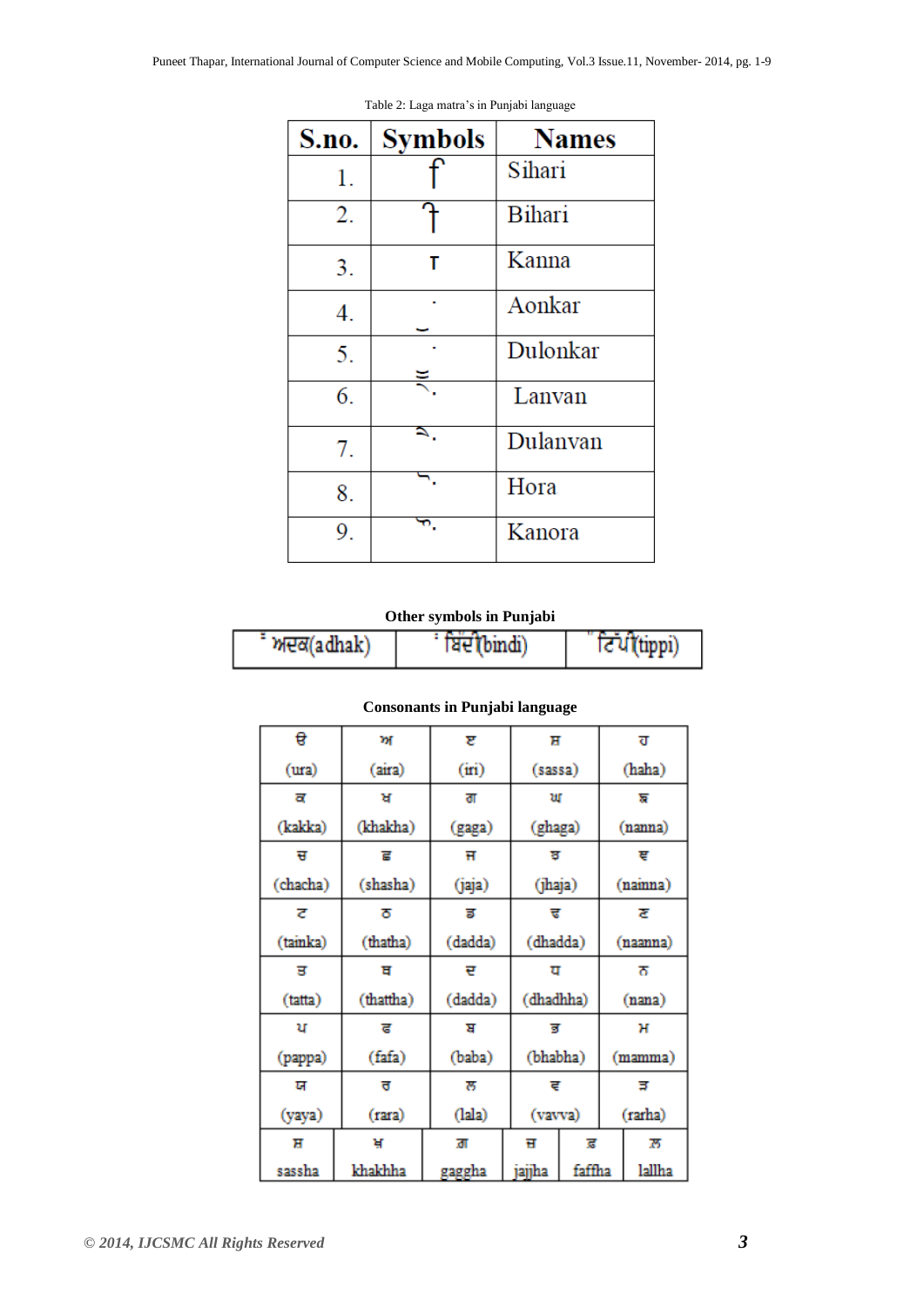| S.no. | <b>Symbols</b> | <b>Names</b>  |
|-------|----------------|---------------|
| 1.    |                | Sihari        |
| 2.    |                | <b>Bihari</b> |
| 3.    | Τ              | Kanna         |
| 4.    |                | Aonkar        |
| 5.    |                | Dulonkar      |
| 6.    |                | Lanvan        |
| 7.    | ۵.             | Dulanvan      |
| 8.    |                | Hora          |
| 9.    | o.             | Kanora        |

Table 2: Laga matra's in Punjabi language

# **Other symbols in Punjabi**

| dhak'<br>m | indi) |  |
|------------|-------|--|
|------------|-------|--|

# **Consonants in Punjabi language**

| ੳ        | юf        | ੲ       | Η         |         | ਹ       |                     |
|----------|-----------|---------|-----------|---------|---------|---------------------|
| (ura)    | (aira)    | (m)     |           | (sassa) |         | (haha)              |
| ਕ        | ਖ         | ग       | w         |         |         | দ্ধ                 |
| (kakka)  | (khakha)  | (gaga)  | (ghaga)   |         | (nanna) |                     |
| ਜ਼       | ਛ         | ਜ       | ਬ         |         |         | ਞ                   |
| (chacha) | (shasha)  | (jaja)  | (jhaja)   |         |         | (nainna)            |
| ਟ        | ਨ         | ਡ       | त्त       |         |         | ਣ                   |
| (tainka) | (thatha)  | (dadda) | (dhadda)  |         |         | (naanna)            |
| ਤ        | ਥ         | ਦ       | π         |         |         | ਨ                   |
| (tatta)  | (thattha) | (dadda) | (dhadhha) |         |         | (n <sub>ana</sub> ) |
| ਪ        | ਫ         | ਸ਼      | ਭ         |         |         | Ή                   |
| (pappa)  | (fafa)    | (baba)  | (bhabha)  |         |         | (mamma)             |
| ਯ        | ਰ         | ਲ       | ਵ         |         |         | ਤ                   |
| (yaya)   | (rara)    | (lala)  | (vavva)   |         |         | (rarha)             |
| ਸ਼       | ਖ         | ता      | ਜ਼        | ਫ਼      |         | 芮                   |
| sassha   | khakhha   | gaggha  | jajjha    | faffha  |         | lallha              |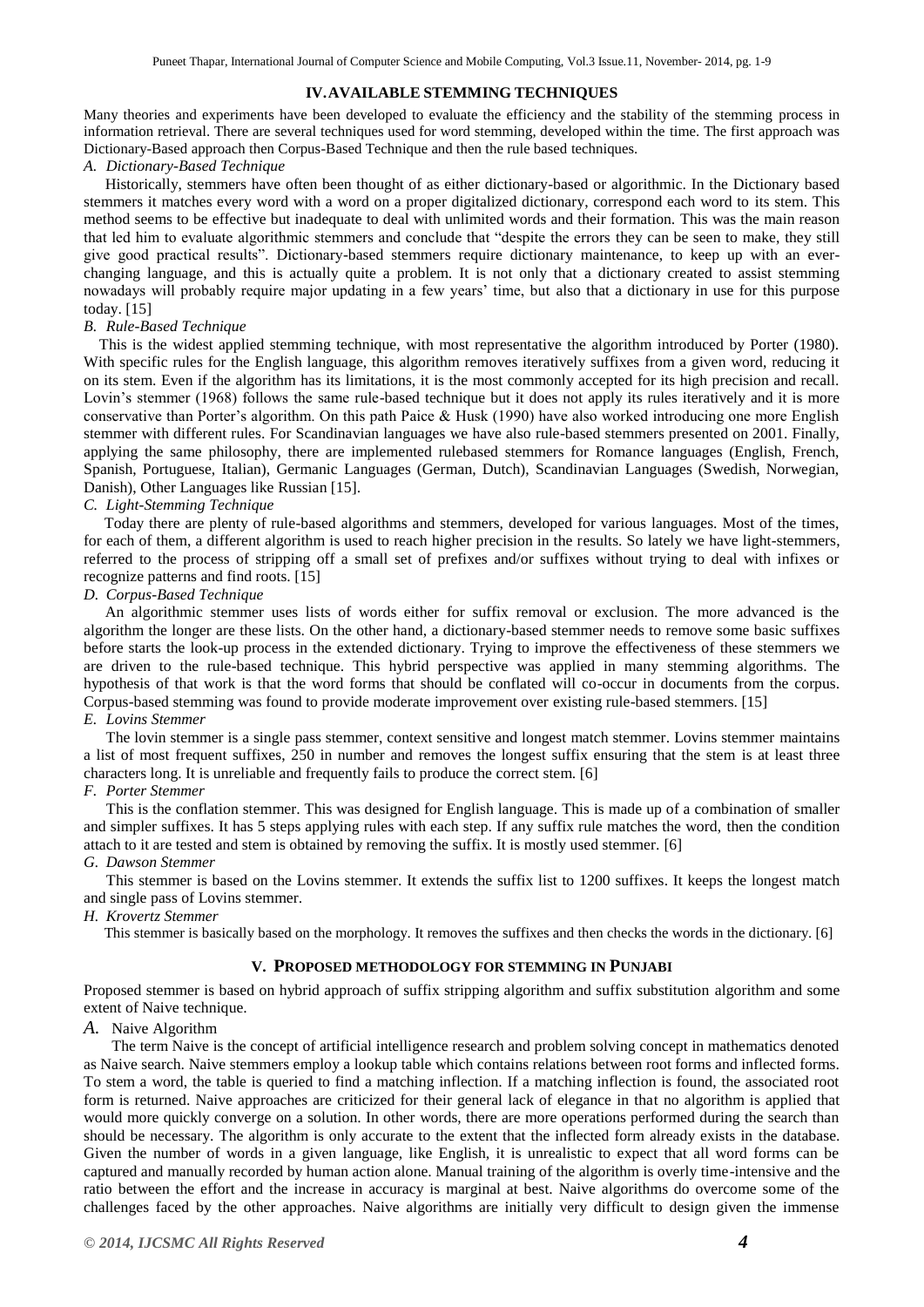## **IV.AVAILABLE STEMMING TECHNIQUES**

Many theories and experiments have been developed to evaluate the efficiency and the stability of the stemming process in information retrieval. There are several techniques used for word stemming, developed within the time. The first approach was Dictionary-Based approach then Corpus-Based Technique and then the rule based techniques.

#### *A. Dictionary-Based Technique*

Historically, stemmers have often been thought of as either dictionary-based or algorithmic. In the Dictionary based stemmers it matches every word with a word on a proper digitalized dictionary, correspond each word to its stem. This method seems to be effective but inadequate to deal with unlimited words and their formation. This was the main reason that led him to evaluate algorithmic stemmers and conclude that "despite the errors they can be seen to make, they still give good practical results". Dictionary-based stemmers require dictionary maintenance, to keep up with an everchanging language, and this is actually quite a problem. It is not only that a dictionary created to assist stemming nowadays will probably require major updating in a few years' time, but also that a dictionary in use for this purpose today. [15]

#### *B. Rule-Based Technique*

 This is the widest applied stemming technique, with most representative the algorithm introduced by Porter (1980). With specific rules for the English language, this algorithm removes iteratively suffixes from a given word, reducing it on its stem. Even if the algorithm has its limitations, it is the most commonly accepted for its high precision and recall. Lovin's stemmer (1968) follows the same rule-based technique but it does not apply its rules iteratively and it is more conservative than Porter's algorithm. On this path Paice & Husk (1990) have also worked introducing one more English stemmer with different rules. For Scandinavian languages we have also rule-based stemmers presented on 2001. Finally, applying the same philosophy, there are implemented rulebased stemmers for Romance languages (English, French, Spanish, Portuguese, Italian), Germanic Languages (German, Dutch), Scandinavian Languages (Swedish, Norwegian, Danish), Other Languages like Russian [15].

#### *C. Light-Stemming Technique*

Today there are plenty of rule-based algorithms and stemmers, developed for various languages. Most of the times, for each of them, a different algorithm is used to reach higher precision in the results. So lately we have light-stemmers, referred to the process of stripping off a small set of prefixes and/or suffixes without trying to deal with infixes or recognize patterns and find roots. [15]

#### *D. Corpus-Based Technique*

An algorithmic stemmer uses lists of words either for suffix removal or exclusion. The more advanced is the algorithm the longer are these lists. On the other hand, a dictionary-based stemmer needs to remove some basic suffixes before starts the look-up process in the extended dictionary. Trying to improve the effectiveness of these stemmers we are driven to the rule-based technique. This hybrid perspective was applied in many stemming algorithms. The hypothesis of that work is that the word forms that should be conflated will co-occur in documents from the corpus. Corpus-based stemming was found to provide moderate improvement over existing rule-based stemmers. [15]

## *E. Lovins Stemmer*

The lovin stemmer is a single pass stemmer, context sensitive and longest match stemmer. Lovins stemmer maintains a list of most frequent suffixes, 250 in number and removes the longest suffix ensuring that the stem is at least three characters long. It is unreliable and frequently fails to produce the correct stem. [6]

# *F. Porter Stemmer*

This is the conflation stemmer. This was designed for English language. This is made up of a combination of smaller and simpler suffixes. It has 5 steps applying rules with each step. If any suffix rule matches the word, then the condition attach to it are tested and stem is obtained by removing the suffix. It is mostly used stemmer. [6]

#### *G. Dawson Stemmer*

This stemmer is based on the Lovins stemmer. It extends the suffix list to 1200 suffixes. It keeps the longest match and single pass of Lovins stemmer.

#### *H. Krovertz Stemmer*

This stemmer is basically based on the morphology. It removes the suffixes and then checks the words in the dictionary. [6]

# **V. PROPOSED METHODOLOGY FOR STEMMING IN PUNJABI**

Proposed stemmer is based on hybrid approach of suffix stripping algorithm and suffix substitution algorithm and some extent of Naive technique.

#### *A.* Naive Algorithm

The term Naive is the concept of artificial intelligence research and problem solving concept in mathematics denoted as Naive search. Naive stemmers employ a lookup table which contains relations between root forms and inflected forms. To stem a word, the table is queried to find a matching inflection. If a matching inflection is found, the associated root form is returned. Naive approaches are criticized for their general lack of elegance in that no algorithm is applied that would more quickly converge on a solution. In other words, there are more operations performed during the search than should be necessary. The algorithm is only accurate to the extent that the inflected form already exists in the database. Given the number of words in a given language, like English, it is unrealistic to expect that all word forms can be captured and manually recorded by human action alone. Manual training of the algorithm is overly time-intensive and the ratio between the effort and the increase in accuracy is marginal at best. Naive algorithms do overcome some of the challenges faced by the other approaches. Naive algorithms are initially very difficult to design given the immense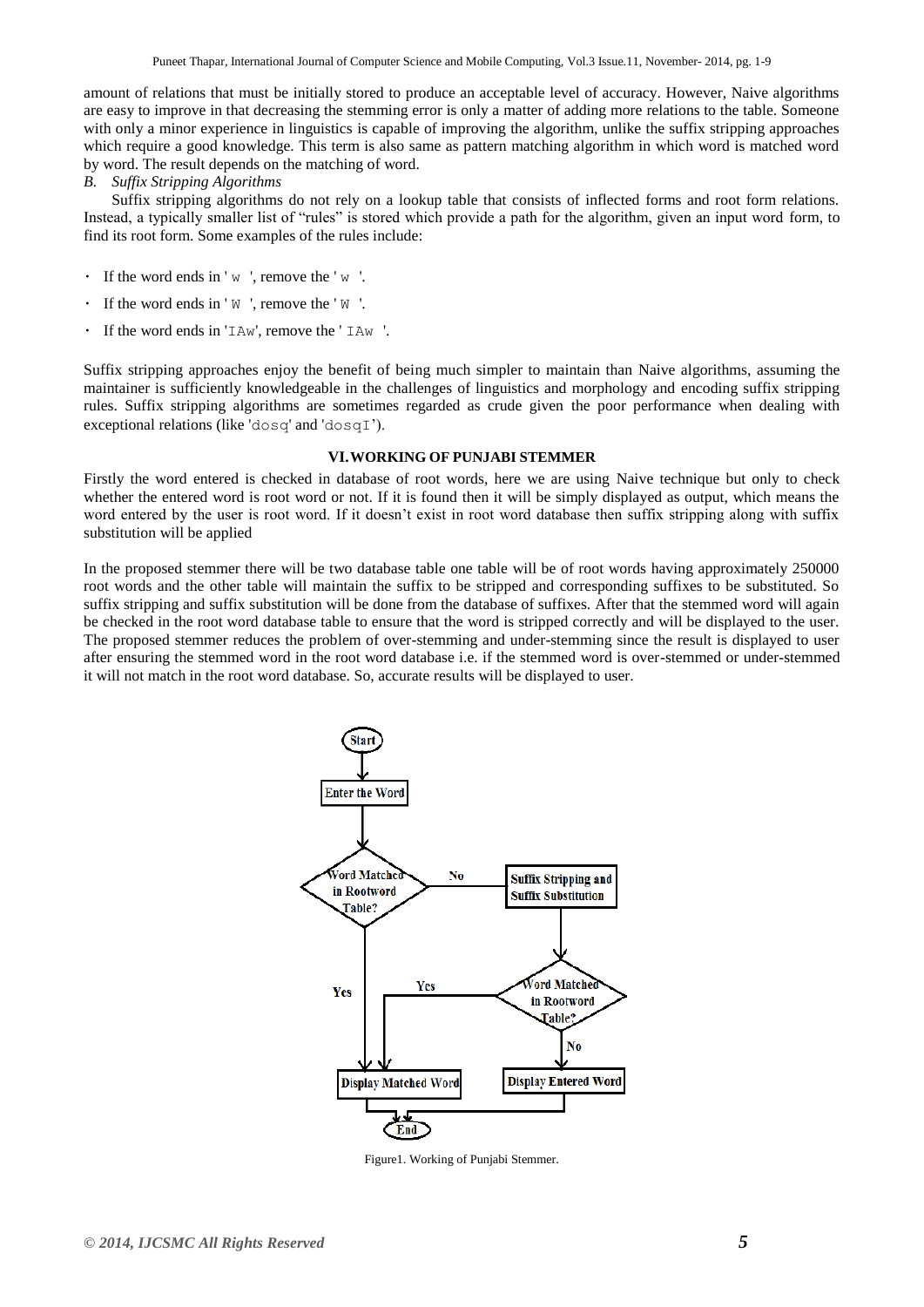amount of relations that must be initially stored to produce an acceptable level of accuracy. However, Naive algorithms are easy to improve in that decreasing the stemming error is only a matter of adding more relations to the table. Someone with only a minor experience in linguistics is capable of improving the algorithm, unlike the suffix stripping approaches which require a good knowledge. This term is also same as pattern matching algorithm in which word is matched word by word. The result depends on the matching of word.

#### *B. Suffix Stripping Algorithms*

Suffix stripping algorithms do not rely on a lookup table that consists of inflected forms and root form relations. Instead, a typically smaller list of "rules" is stored which provide a path for the algorithm, given an input word form, to find its root form. Some examples of the rules include:

- If the word ends in ' $w$ ', remove the ' $w$ '.
- If the word ends in  $'W'$ , remove the  $'W'$ .
- If the word ends in 'IAw', remove the ' IAw '.

Suffix stripping approaches enjoy the benefit of being much simpler to maintain than Naive algorithms, assuming the maintainer is sufficiently knowledgeable in the challenges of linguistics and morphology and encoding suffix stripping rules. Suffix stripping algorithms are sometimes regarded as crude given the poor performance when dealing with exceptional relations (like 'dosq' and 'dosqI').

#### **VI.WORKING OF PUNJABI STEMMER**

Firstly the word entered is checked in database of root words, here we are using Naive technique but only to check whether the entered word is root word or not. If it is found then it will be simply displayed as output, which means the word entered by the user is root word. If it doesn't exist in root word database then suffix stripping along with suffix substitution will be applied

In the proposed stemmer there will be two database table one table will be of root words having approximately 250000 root words and the other table will maintain the suffix to be stripped and corresponding suffixes to be substituted. So suffix stripping and suffix substitution will be done from the database of suffixes. After that the stemmed word will again be checked in the root word database table to ensure that the word is stripped correctly and will be displayed to the user. The proposed stemmer reduces the problem of over-stemming and under-stemming since the result is displayed to user after ensuring the stemmed word in the root word database i.e. if the stemmed word is over-stemmed or under-stemmed it will not match in the root word database. So, accurate results will be displayed to user.



Figure1. Working of Punjabi Stemmer.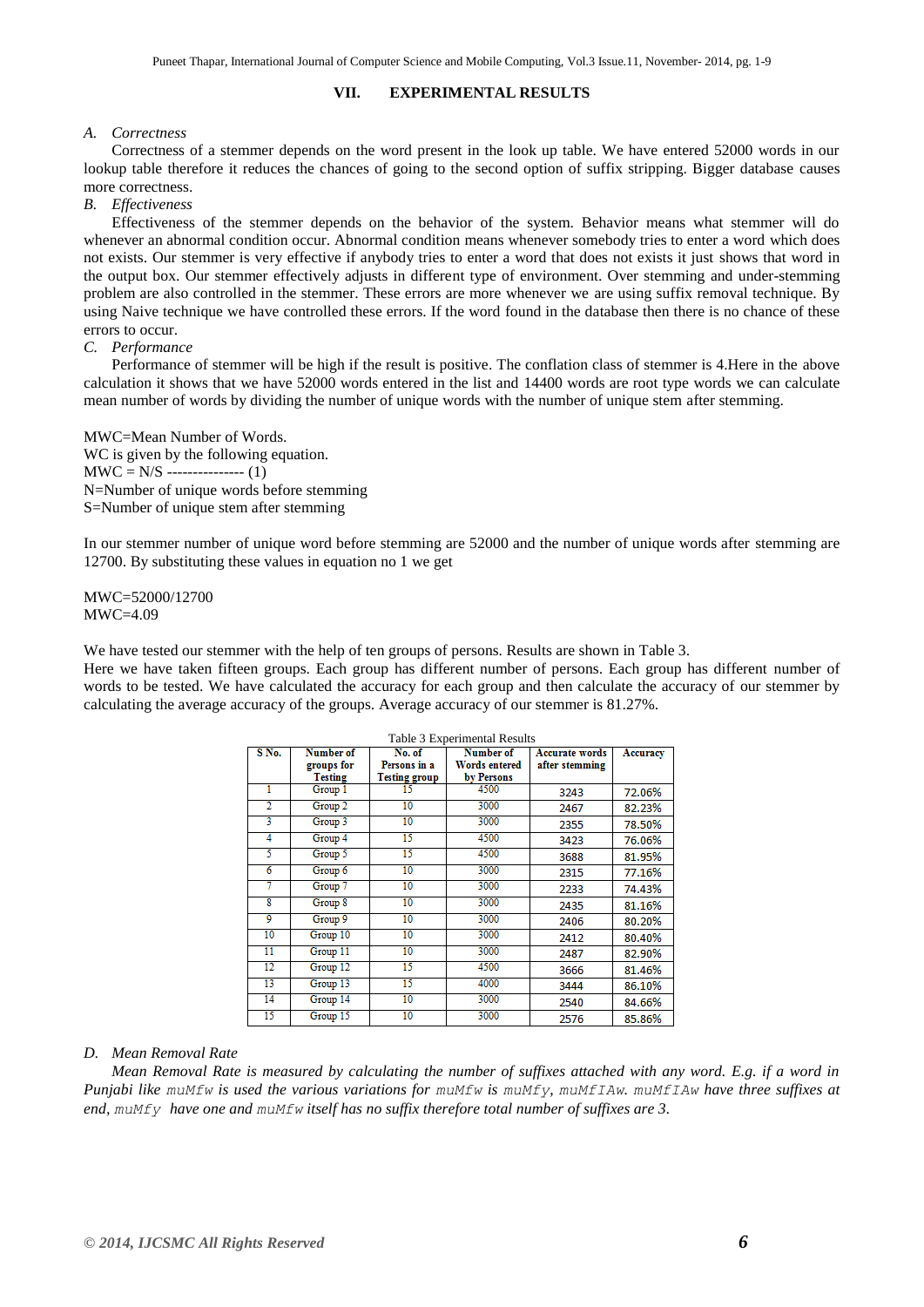# **VII. EXPERIMENTAL RESULTS**

#### *A. Correctness*

Correctness of a stemmer depends on the word present in the look up table. We have entered 52000 words in our lookup table therefore it reduces the chances of going to the second option of suffix stripping. Bigger database causes more correctness.

#### *B. Effectiveness*

Effectiveness of the stemmer depends on the behavior of the system. Behavior means what stemmer will do whenever an abnormal condition occur. Abnormal condition means whenever somebody tries to enter a word which does not exists. Our stemmer is very effective if anybody tries to enter a word that does not exists it just shows that word in the output box. Our stemmer effectively adjusts in different type of environment. Over stemming and under-stemming problem are also controlled in the stemmer. These errors are more whenever we are using suffix removal technique. By using Naive technique we have controlled these errors. If the word found in the database then there is no chance of these errors to occur.

#### *C. Performance*

Performance of stemmer will be high if the result is positive. The conflation class of stemmer is 4.Here in the above calculation it shows that we have 52000 words entered in the list and 14400 words are root type words we can calculate mean number of words by dividing the number of unique words with the number of unique stem after stemming.

MWC=Mean Number of Words. WC is given by the following equation.  $MWC = N/S$  --------------- (1) N=Number of unique words before stemming S=Number of unique stem after stemming

In our stemmer number of unique word before stemming are 52000 and the number of unique words after stemming are 12700. By substituting these values in equation no 1 we get

MWC=52000/12700  $MWC=4.09$ 

We have tested our stemmer with the help of ten groups of persons. Results are shown in Table 3. Here we have taken fifteen groups. Each group has different number of persons. Each group has different number of words to be tested. We have calculated the accuracy for each group and then calculate the accuracy of our stemmer by calculating the average accuracy of the groups. Average accuracy of our stemmer is 81.27%.

| <b>Table 3 Experimental Results</b> |                                           |                                                |                                                 |                                         |          |  |
|-------------------------------------|-------------------------------------------|------------------------------------------------|-------------------------------------------------|-----------------------------------------|----------|--|
| S No.                               | Number of<br>groups for<br><b>Testing</b> | No. of<br>Persons in a<br><b>Testing group</b> | Number of<br><b>Words</b> entered<br>by Persons | <b>Accurate words</b><br>after stemming | Accuracy |  |
| 1                                   | Group 1                                   | 15                                             | 4500                                            | 3243                                    | 72.06%   |  |
| 2                                   | Group 2                                   | 10                                             | 3000                                            | 2467                                    | 82.23%   |  |
| 3                                   | Group 3                                   | 10                                             | 3000                                            | 2355                                    | 78.50%   |  |
| 4                                   | Group 4                                   | 15                                             | 4500                                            | 3423                                    | 76.06%   |  |
| 5                                   | Group 5                                   | 15                                             | 4500                                            | 3688                                    | 81.95%   |  |
| $\overline{6}$                      | Group 6                                   | 10                                             | 3000                                            | 2315                                    | 77.16%   |  |
| 7                                   | Group 7                                   | 10                                             | 3000                                            | 2233                                    | 74.43%   |  |
| $\overline{\mathbf{8}}$             | Group 8                                   | 10                                             | 3000                                            | 2435                                    | 81.16%   |  |
| 9                                   | Group 9                                   | 10                                             | 3000                                            | 2406                                    | 80.20%   |  |
| 10                                  | Group 10                                  | 10                                             | 3000                                            | 2412                                    | 80.40%   |  |
| 11                                  | Group 11                                  | 10                                             | 3000                                            | 2487                                    | 82.90%   |  |
| $12 \$                              | Group 12                                  | 15                                             | 4500                                            | 3666                                    | 81.46%   |  |
| 13                                  | Group 13                                  | 15                                             | 4000                                            | 3444                                    | 86.10%   |  |
| 14                                  | Group 14                                  | 10                                             | 3000                                            | 2540                                    | 84.66%   |  |
| 15                                  | Group 15                                  | 10                                             | 3000                                            | 2576                                    | 85.86%   |  |

#### *D. Mean Removal Rate*

*Mean Removal Rate is measured by calculating the number of suffixes attached with any word. E.g. if a word in Punjabi like muMfw is used the various variations for muMfw is muMfy, muMfIAw. muMfIAw have three suffixes at end, muMfy have one and muMfw itself has no suffix therefore total number of suffixes are 3.*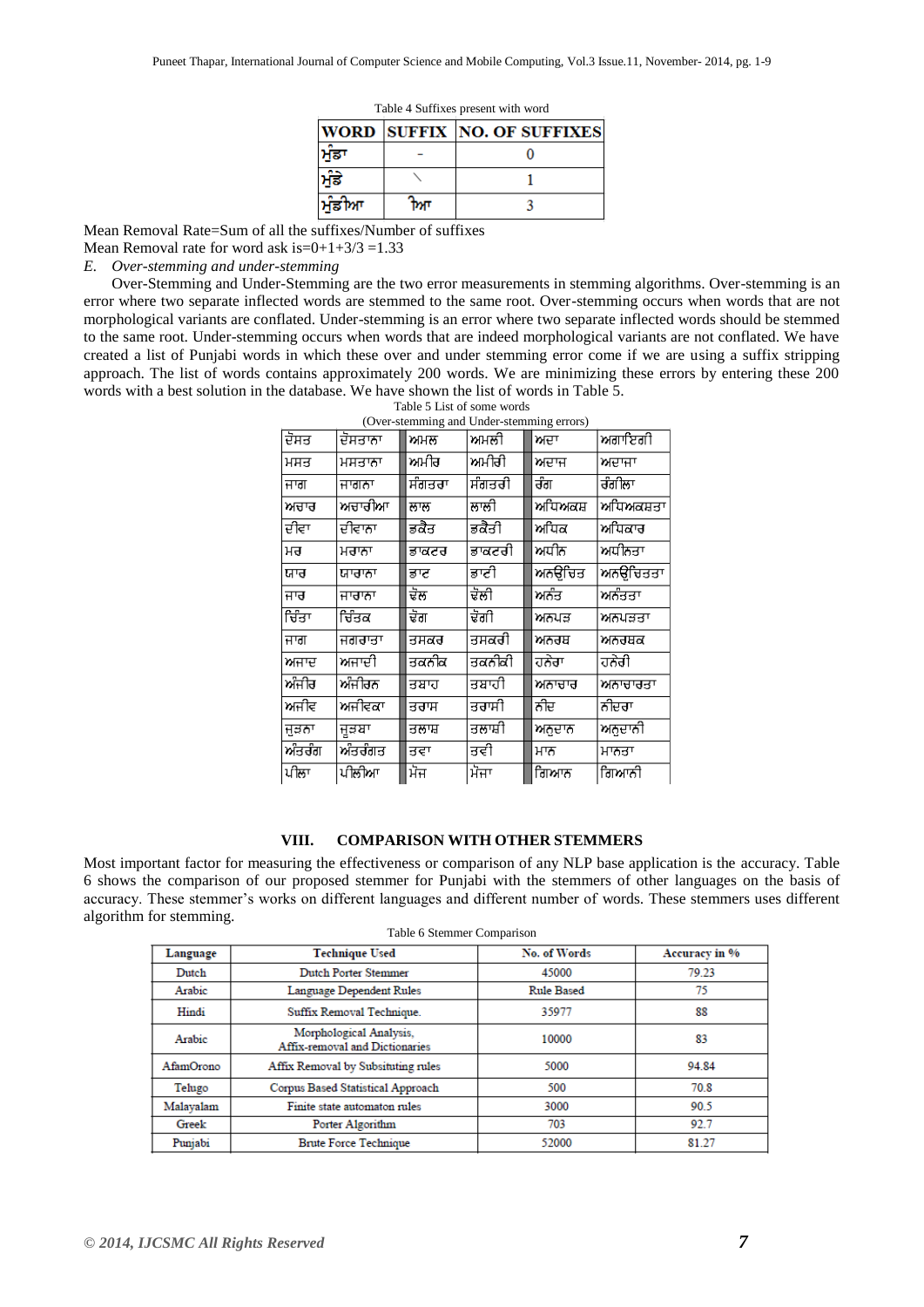|       |  | <b>WORD SUFFIX NO. OF SUFFIXES</b> |  |  |  |
|-------|--|------------------------------------|--|--|--|
|       |  |                                    |  |  |  |
| ਡਿ    |  |                                    |  |  |  |
| ਮੰਡੀਆ |  |                                    |  |  |  |

Table 4 Suffixes present with word

Mean Removal Rate=Sum of all the suffixes/Number of suffixes

Mean Removal rate for word ask is= $0+1+3/3 = 1.33$ 

*E. Over-stemming and under-stemming*

Over-Stemming and Under-Stemming are the two error measurements in stemming algorithms. Over-stemming is an error where two separate inflected words are stemmed to the same root. Over-stemming occurs when words that are not morphological variants are conflated. Under-stemming is an error where two separate inflected words should be stemmed to the same root. Under-stemming occurs when words that are indeed morphological variants are not conflated. We have created a list of Punjabi words in which these over and under stemming error come if we are using a suffix stripping approach. The list of words contains approximately 200 words. We are minimizing these errors by entering these 200 words with a best solution in the database. We have shown the list of words in Table 5. Table 5 List of some words

| (Over-stemming and Under-stemming errors) |         |        |        |  |         |           |
|-------------------------------------------|---------|--------|--------|--|---------|-----------|
| ਦੋਸਤ                                      | ਦੋਸਤਾਨਾ | ਅਮਲ    | ਅਮਲੀ   |  | ਅਦਾ     | ਅਗਾਇਗੀ    |
| ਮਸਤ                                       | ਮਸਤਾਨਾ  | ਅਮੀਰ   | ਅਮੀਰੀ  |  | ਅਦਾਜ    | ਅਦਾਜਾ     |
| ਜਾਗ                                       | ਜਾਗਨਾ   | ਸੰਗਤਰਾ | ਸੰਗਤਚੀ |  | ਚੰਗ     | ਚੰਗੀਲਾ    |
| ਅਚਾਰ                                      | ਅਚਾਰੀਆ  | ਲਾਲ    | ਲਾਲੀ   |  | ਅਧਿਅਕਸ਼ | ਅਧਿਅਕਸ਼ਤਾ |
| ਦੀਵਾ                                      | ਦੀਵਾਨਾ  | ਡਕੈਤ   | ਡਕੈਤੀ  |  | ਅਧਿਕ    | ਅਧਿਕਾਰ    |
| ਮਰ                                        | ਮਰਾਨਾ   | ਡਾਕਟਰ  | ਡਾਕਟਰੀ |  | ਅਧੀਨ    | ਅਧੀਨਤਾ    |
| ਯਾਰ                                       | ਯਾਰਾਨਾ  | ਡਾਟ    | ਡਾਟੀ   |  | ਅਨਉਚਿਤ  | ਅਨਉਚਿਤਤਾ  |
| ਜਾਰ                                       | ਜਾਰਾਨਾ  | ਢੋਲ    | ਢੋਲੀ   |  | ਅਨੰਤ    | ਅਨੰਤਤਾ    |
| ਚਿੰਤਾ                                     | ਚਿੰਤਕ   | ਢੋਗ    | ਢੋਗੀ   |  | ਅਨਪਤ    | ਅਨਪੜਤਾ    |
| ਜਾਗ                                       | ਜਗਰਾਤਾ  | ਤਸਕਰ   | ਤਸਕਰੀ  |  | ਅਨਰਥ    | ਅਨਰਥਕ     |
| ਅਜਾਦ                                      | ਅਜਾਦੀ   | ਤਕਨੀਕ  | ਤਕਨੀਕੀ |  | ਹਨੇਰਾ   | ਹਨੇਰੀ     |
| ਅੰਜੀਰ                                     | ਅੰਜੀਰਨ  | ਤਬਾਹ   | ਤਬਾਹੀ  |  | ਅਨਾਚਾਰ  | ਅਨਾਚਾਰਤਾ  |
| ਅਜੀਵ                                      | ਅਜੀਵਕਾ  | ਤਰਾਸ   | ਤਰਾਸੀ  |  | ਨੀਦ     | ਨੀਦਚਾ     |
| ਜੜਨਾ                                      | ਜੁੜਬਾ   | ਤਲਾਸ਼  | ਤਲਾਸ਼ੀ |  | ਅਨੁਦਾਨ  | ਅਨੁਦਾਨੀ   |
| ਅੰਤਚੰਗ                                    | ਔਤਰੰਗਤ  | ਤਵਾ    | ਤਵੀ    |  | ਮਾਨ     | ਮਾਨਤਾ     |
| ਪੀਲਾ                                      | ਪੀਲੀਆ   | ਮੌਜ    | ਮੌਜਾ   |  | ਗਿਆਨ    | ਗਿਆਨੀ     |

#### **VIII. COMPARISON WITH OTHER STEMMERS**

Most important factor for measuring the effectiveness or comparison of any NLP base application is the accuracy. Table 6 shows the comparison of our proposed stemmer for Punjabi with the stemmers of other languages on the basis of accuracy. These stemmer's works on different languages and different number of words. These stemmers uses different algorithm for stemming.

| rable o Stemmer Comparison                                |                   |                      |  |  |  |
|-----------------------------------------------------------|-------------------|----------------------|--|--|--|
| <b>Technique Used</b>                                     | No. of Words      | <b>Accuracy in %</b> |  |  |  |
| <b>Dutch Porter Stemmer</b>                               | 45000             | 79.23                |  |  |  |
| Language Dependent Rules                                  | <b>Rule Based</b> | 75                   |  |  |  |
| Suffix Removal Technique.                                 | 35977             | 88                   |  |  |  |
| Morphological Analysis,<br>Affix-removal and Dictionaries | 10000             | 83                   |  |  |  |
| Affix Removal by Subsituting rules                        | 5000              | 94.84                |  |  |  |
| Corpus Based Statistical Approach                         | 500               | 70.8                 |  |  |  |
| Finite state automaton rules                              | 3000              | 90.5                 |  |  |  |
| Porter Algorithm                                          | 703               | 92.7                 |  |  |  |
| <b>Brute Force Technique</b>                              | 52000             | 81.27                |  |  |  |
|                                                           |                   |                      |  |  |  |

Table 6 Stemmer Comparison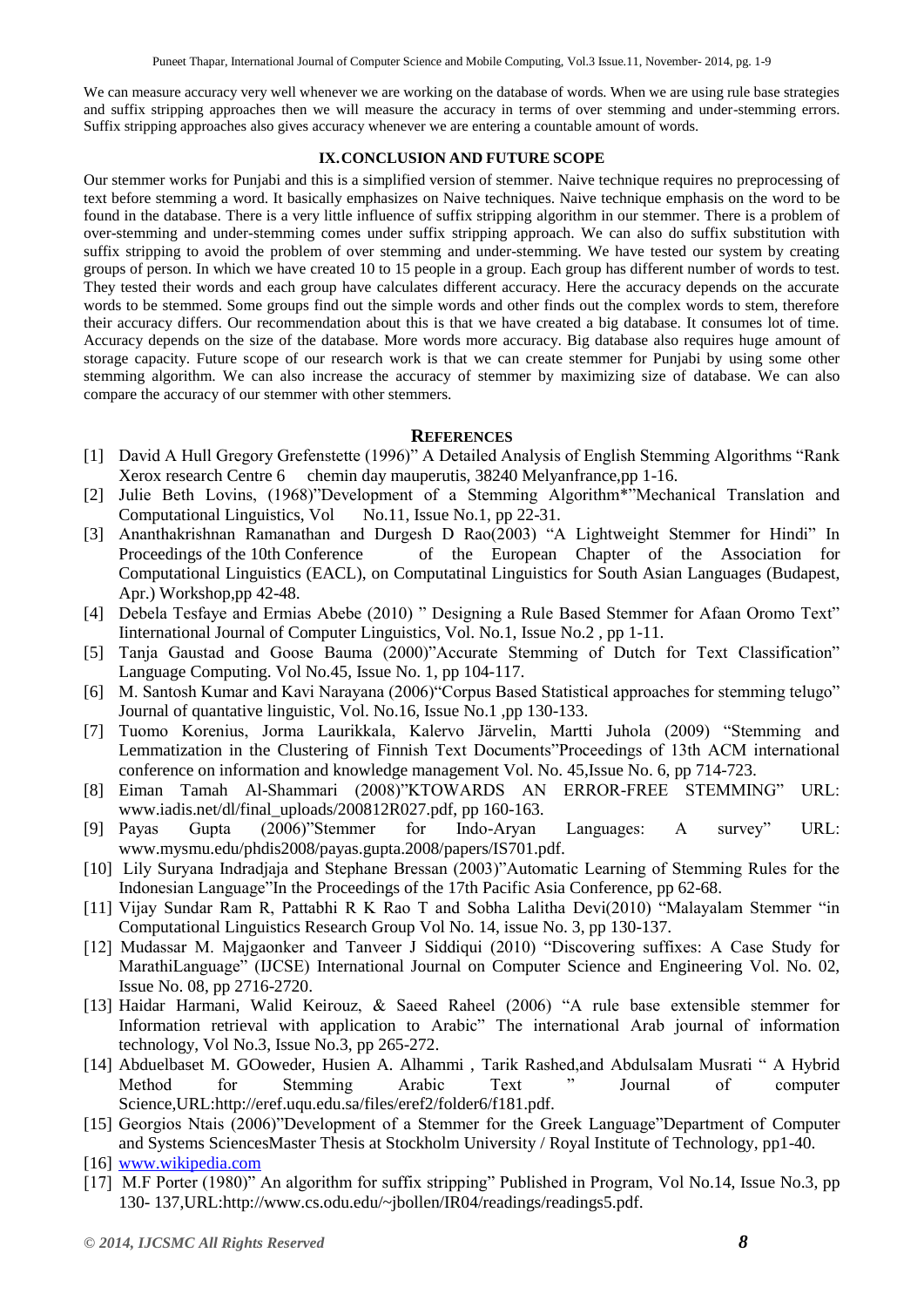We can measure accuracy very well whenever we are working on the database of words. When we are using rule base strategies and suffix stripping approaches then we will measure the accuracy in terms of over stemming and under-stemming errors. Suffix stripping approaches also gives accuracy whenever we are entering a countable amount of words.

#### **IX.CONCLUSION AND FUTURE SCOPE**

Our stemmer works for Punjabi and this is a simplified version of stemmer. Naive technique requires no preprocessing of text before stemming a word. It basically emphasizes on Naive techniques. Naive technique emphasis on the word to be found in the database. There is a very little influence of suffix stripping algorithm in our stemmer. There is a problem of over-stemming and under-stemming comes under suffix stripping approach. We can also do suffix substitution with suffix stripping to avoid the problem of over stemming and under-stemming. We have tested our system by creating groups of person. In which we have created 10 to 15 people in a group. Each group has different number of words to test. They tested their words and each group have calculates different accuracy. Here the accuracy depends on the accurate words to be stemmed. Some groups find out the simple words and other finds out the complex words to stem, therefore their accuracy differs. Our recommendation about this is that we have created a big database. It consumes lot of time. Accuracy depends on the size of the database. More words more accuracy. Big database also requires huge amount of storage capacity. Future scope of our research work is that we can create stemmer for Punjabi by using some other stemming algorithm. We can also increase the accuracy of stemmer by maximizing size of database. We can also compare the accuracy of our stemmer with other stemmers.

# **REFERENCES**

- [1] David A Hull Gregory Grefenstette (1996)" A Detailed Analysis of English Stemming Algorithms "Rank Xerox research Centre 6 chemin day mauperutis, 38240 Melyanfrance,pp 1-16.
- [2] Julie Beth Lovins, (1968)"Development of a Stemming Algorithm\*"Mechanical Translation and Computational Linguistics, Vol No.11, Issue No.1, pp 22-31.
- [3] Ananthakrishnan Ramanathan and Durgesh D Rao(2003) "A Lightweight Stemmer for Hindi" In Proceedings of the 10th Conference of the European Chapter of the Association for Computational Linguistics (EACL), on Computatinal Linguistics for South Asian Languages (Budapest, Apr.) Workshop,pp 42-48.
- [4] Debela Tesfaye and Ermias Abebe (2010) " Designing a Rule Based Stemmer for Afaan Oromo Text" Iinternational Journal of Computer Linguistics, Vol. No.1, Issue No.2 , pp 1-11.
- [5] Tanja Gaustad and Goose Bauma (2000)"Accurate Stemming of Dutch for Text Classification" Language Computing. Vol No.45, Issue No. 1, pp 104-117.
- [6] M. Santosh Kumar and Kavi Narayana (2006)"Corpus Based Statistical approaches for stemming telugo" Journal of quantative linguistic, Vol. No.16, Issue No.1 ,pp 130-133.
- [7] Tuomo Korenius, Jorma Laurikkala, Kalervo Järvelin, Martti Juhola (2009) "Stemming and Lemmatization in the Clustering of Finnish Text Documents"Proceedings of 13th ACM international conference on information and knowledge management Vol. No. 45,Issue No. 6, pp 714-723.
- [8] Eiman Tamah Al-Shammari (2008)"KTOWARDS AN ERROR-FREE STEMMING" URL: www.iadis.net/dl/final\_uploads/200812R027.pdf, pp 160-163.
- [9] Payas Gupta (2006)"Stemmer for Indo-Aryan Languages: A survey" URL: www.mysmu.edu/phdis2008/payas.gupta.2008/papers/IS701.pdf.
- [10] Lily Suryana Indradjaja and Stephane Bressan (2003)"Automatic Learning of Stemming Rules for the Indonesian Language"In the Proceedings of the 17th Pacific Asia Conference, pp 62-68.
- [11] Vijay Sundar Ram R, Pattabhi R K Rao T and Sobha Lalitha Devi(2010) "Malayalam Stemmer "in Computational Linguistics Research Group Vol No. 14, issue No. 3, pp 130-137.
- [12] Mudassar M. Majgaonker and Tanveer J Siddiqui (2010) "Discovering suffixes: A Case Study for MarathiLanguage" (IJCSE) International Journal on Computer Science and Engineering Vol. No. 02, Issue No. 08, pp 2716-2720.
- [13] Haidar Harmani, Walid Keirouz, & Saeed Raheel (2006) "A rule base extensible stemmer for Information retrieval with application to Arabic" The international Arab journal of information technology, Vol No.3, Issue No.3, pp 265-272.
- [14] Abduelbaset M. GOoweder, Husien A. Alhammi , Tarik Rashed,and Abdulsalam Musrati " A Hybrid Method for Stemming Arabic Text " Journal of computer Science,URL:http://eref.uqu.edu.sa/files/eref2/folder6/f181.pdf.
- [15] Georgios Ntais (2006)"Development of a Stemmer for the Greek Language"Department of Computer and Systems SciencesMaster Thesis at Stockholm University / Royal Institute of Technology, pp1-40.
- [16] [www.wikipedia.com](http://www.wikipedia.com/)
- [17] M.F Porter (1980)" An algorithm for suffix stripping" Published in Program, Vol No.14, Issue No.3, pp 130- 137,URL:http://www.cs.odu.edu/~jbollen/IR04/readings/readings5.pdf.